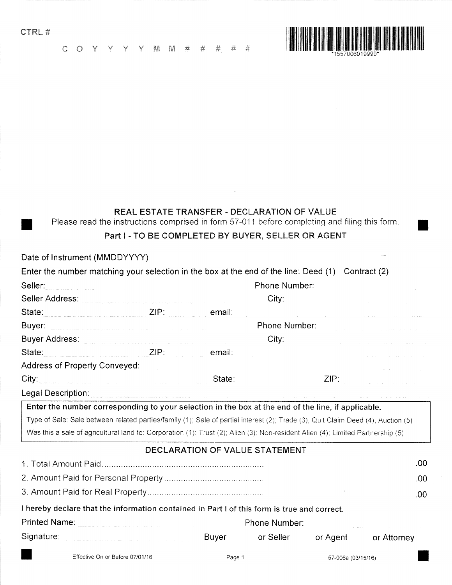$\overline{\mathcal{U}}$  $C$   $O$ M  $\vee$ Y Y M



REAL ESTATE TRANSFER - DECLARATION OF VALUE

Please read the instructions comprised in form 57-011 before completing and filing this form.

#### Part I - TO BE COMPLETED BY BUYER, SELLER OR AGENT

| Date of Instrument (MMDDYYYY)                                                                                                                                                                                                                                                                  |                                                                                                                                                                                                                                  |                                |               |          |             |
|------------------------------------------------------------------------------------------------------------------------------------------------------------------------------------------------------------------------------------------------------------------------------------------------|----------------------------------------------------------------------------------------------------------------------------------------------------------------------------------------------------------------------------------|--------------------------------|---------------|----------|-------------|
| Enter the number matching your selection in the box at the end of the line: Deed $(1)$ Contract $(2)$                                                                                                                                                                                          |                                                                                                                                                                                                                                  |                                |               |          |             |
| Seller:                                                                                                                                                                                                                                                                                        |                                                                                                                                                                                                                                  | Phone Number:                  |               |          |             |
| Seller Address:                                                                                                                                                                                                                                                                                | .<br>A national consideration of the contract of the contract of the contract of the contract of the contract of th                                                                                                              |                                | City:         |          |             |
| <b>Example 21P:</b> Property and Participants and Participants and Participants and Participants and Participants and Participants and Participants and Participants and Participants and Participants and Participants and Partici<br>State:                                                  |                                                                                                                                                                                                                                  |                                |               |          |             |
| Buyer:                                                                                                                                                                                                                                                                                         |                                                                                                                                                                                                                                  |                                | Phone Number: |          |             |
| Buyer Address:                                                                                                                                                                                                                                                                                 | a como característica de construir a construir de comparador de la comparador de la comparador de la                                                                                                                             |                                | City:         |          |             |
| State:<br>$\label{eq:1} \hat{\rho}_{\rm eff}(\hat{\rho}_{\rm eff},\hat{\rho}_{\rm eff}) = \hat{\rho}_{\rm eff}(\hat{\rho}_{\rm eff},\hat{\rho}_{\rm eff}) = \hat{\rho}_{\rm eff}(\hat{\rho}_{\rm eff},\hat{\rho}_{\rm eff}) = \hat{\rho}_{\rm eff}(\hat{\rho}_{\rm eff},\hat{\rho}_{\rm eff})$ | ZIP:                                                                                                                                                                                                                             | email:                         |               |          |             |
| Address of Property Conveyed:                                                                                                                                                                                                                                                                  |                                                                                                                                                                                                                                  |                                |               |          |             |
| City:<br>.<br>1940 - Johann John Holl, amerikanischer Politiker († 1900)                                                                                                                                                                                                                       |                                                                                                                                                                                                                                  | State:                         |               | ZIP:     |             |
| Legal Description:                                                                                                                                                                                                                                                                             | .<br>The main of the continue of the company of the company of the control of the company of the company of the company of the company of the company of the company of the company of the company of the company of the company |                                |               |          |             |
| Enter the number corresponding to your selection in the box at the end of the line, if applicable.                                                                                                                                                                                             |                                                                                                                                                                                                                                  |                                |               |          |             |
| Type of Sale: Sale between related parties/family (1); Sale of partial interest (2); Trade (3); Quit Claim Deed (4); Auction (5)                                                                                                                                                               |                                                                                                                                                                                                                                  |                                |               |          |             |
| Was this a sale of agricultural land to: Corporation (1): Trust (2); Alien (3); Non-resident Alien (4): Limited Partnership (5)                                                                                                                                                                |                                                                                                                                                                                                                                  |                                |               |          |             |
|                                                                                                                                                                                                                                                                                                |                                                                                                                                                                                                                                  | DECLARATION OF VALUE STATEMENT |               |          |             |
|                                                                                                                                                                                                                                                                                                |                                                                                                                                                                                                                                  |                                |               |          | .00.        |
|                                                                                                                                                                                                                                                                                                |                                                                                                                                                                                                                                  |                                |               |          | .00.        |
|                                                                                                                                                                                                                                                                                                |                                                                                                                                                                                                                                  |                                |               |          | .00.        |
| I hereby declare that the information contained in Part I of this form is true and correct.                                                                                                                                                                                                    |                                                                                                                                                                                                                                  |                                |               |          |             |
| Printed Name:<br>المسافر الأمسي المتعارض المستهدي المستحدة المناطق المناطق                                                                                                                                                                                                                     |                                                                                                                                                                                                                                  |                                | Phone Number: |          |             |
| Signature:                                                                                                                                                                                                                                                                                     |                                                                                                                                                                                                                                  | Buyer                          | or Seller     | or Agent | or Attorney |
|                                                                                                                                                                                                                                                                                                |                                                                                                                                                                                                                                  |                                |               |          |             |

Effective On or Before 07/01/16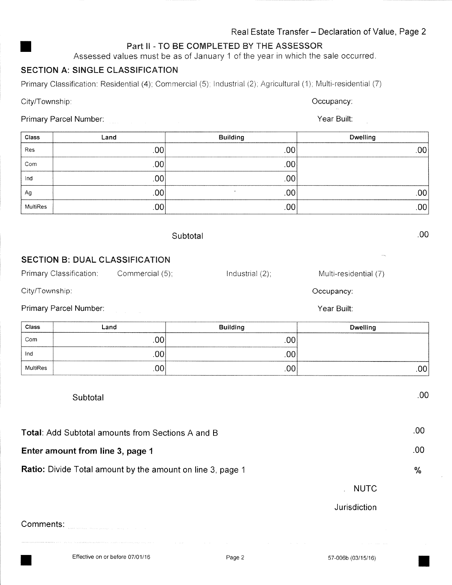# Real Estate Transfer - Declaration of Value, Page 2

#### Part II - TO BE COMPLETED BY THE ASSESSOR

Assessed values must be as of January 1 of the year in which the sale occurred.

## SECTION A: SINGLE CLASSIFICATION

Primary Classification: Residential (4); Commercial (5); Industrial (2); Agricultural (1); Multi-residential (7)

City/Township: Occupancy.

I

### Primary Parcel Number: Year Built:

| Class    | Land             | <b>Building</b>  | <b>Dwelling</b> |
|----------|------------------|------------------|-----------------|
| Res      | .00 <sup>1</sup> | .00 <sup>1</sup> | .00             |
| Com      | .00'             | .00'             |                 |
| Ind      | .00 <sup>′</sup> | $.00^{\circ}$    |                 |
| Ag       | .00 <sup>′</sup> | $.00^+$          | .00             |
| MultiRes | .00 <sub>1</sub> | .00 <sup>1</sup> | .00             |

|  | <b>SECTION B: DUAL CLASSIFICATION</b> |  |
|--|---------------------------------------|--|
|  |                                       |  |

| Primary Classification: | Commercial (5): | Industrial $(2)$ ; | Multi-residential (7) |
|-------------------------|-----------------|--------------------|-----------------------|
| City/Township:          |                 |                    | Occupancy:            |

Primary Parcel Number:

| Class    | Land             | <b>Building</b> | Dwelling |
|----------|------------------|-----------------|----------|
| Com      | .00 <sup>1</sup> | .00'            |          |
| Ind      | .00 <sup>1</sup> | .00'            |          |
| MultiRes | .00 <sup>°</sup> | $.00\%$         | 00       |

# Total: Add Subtotal amounts from Sections A and <sup>B</sup> Enter amount from line 3, page I

Ratio: Divide Total amount by the amount on line 3, page <sup>1</sup>

NUTC i.

Jurisdiction

Comments

Subtotal

00

00

 $\frac{6}{5}$ 

00

Year Built:

Subtotal 200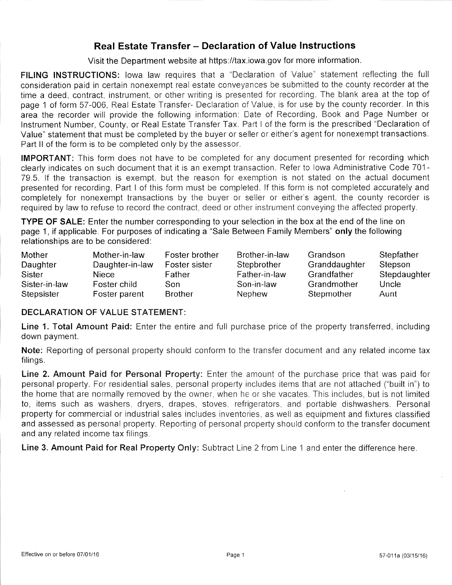# Real Estate Transfer - Declaration of Value lnstructions

Visit the Department website at https://tax.iowa.gov for more information.

FILING INSTRUCTIONS: lowa law requires that a "Declaration of Value" statement reflecting the full consideration paid in certain nonexempt real estate conveyances be submitted to the county recorder at the time a deed, contract, instrument, or other writing is presented for recording. The blank area at the top of page 1 of form 57-006, Real Estate Transfer- Declaration of Value, is for use by the county recorder. In this area the recorder wilt provide the following inforrnation: Date of Recording, Book and Page Number or lnstrument Number, County, or Real Estate Transfer Tax. Part I of the form is the prescribed "Declaration of Value" statement that must be completed by the buyer or seller or either's agent for nonexempt transactions. Part II of the form is to be completed only by the assessor.

**IMPORTANT:** This form does not have to be completed for any document presented for recording which clearly indicates on such document that it is an exempt transaction. Refer to lowa Administrative Code 701-79.5. If the transaction is exempt, but the reason for exemption is not stated on the actual document presented for recording. Part I of this form must be completed. If this form is not completed accurately and completely for nonexempt transactions by the buyer or seller or either's agent, the county recorder is required by law to refuse to record the contract, deed or other instrument conveying the affected property.

TYPE OF SALE: Enter the number corresponding to your selection in the box at the end of the line on page 1, if applicable. For purposes of indicating a "Sale Between Family Members" only the following relationships are to be considered:

| Mother        | Mother-in-law   | Foster brother | Brother-in-law | Grandson      | Stepfather   |
|---------------|-----------------|----------------|----------------|---------------|--------------|
| Daughter      | Daughter-in-law | Foster sister  | Stepbrother    | Granddaughter | Stepson      |
| Sister        | Niece           | Father         | Father-in-law  | Grandfather   | Stepdaughter |
| Sister-in-law | Foster child    | Son            | Son-in-law     | Grandmother   | Uncle        |
| Stepsister    | Foster parent   | <b>Brother</b> | <b>Nephew</b>  | Stepmother    | Aunt         |

#### DECLARATION OF VALUE STATEMENT:

Line 1. Total Amount Paid: Enter the entire and full purchase price of the property transferred, including down payment.

Note: Reporting of personal property should conform to the transfer document and any related income tax filings.

Line 2. Amount Paid for Personal Property: Enter the amount of the purchase price that was paid for personal property. For residential sales, personal property includes items that are not attached ("built in") to the home that are normally removed by the owner, when he or she vacates. This includes, but is not limited to, items such as washers, dryers, drapes, stoves, refrigerators, and portable dishwashers. Personal property for comrnercial or industrial sales includes inventories, as well as equipment and fixtures classified and assessed as personal property. Reporting of personal property should conform to the transfer document and any related income tax filings.

Line 3. Amount Paid for Real Property Only: Subtract Line 2 from Line 1 and enter the difference here.